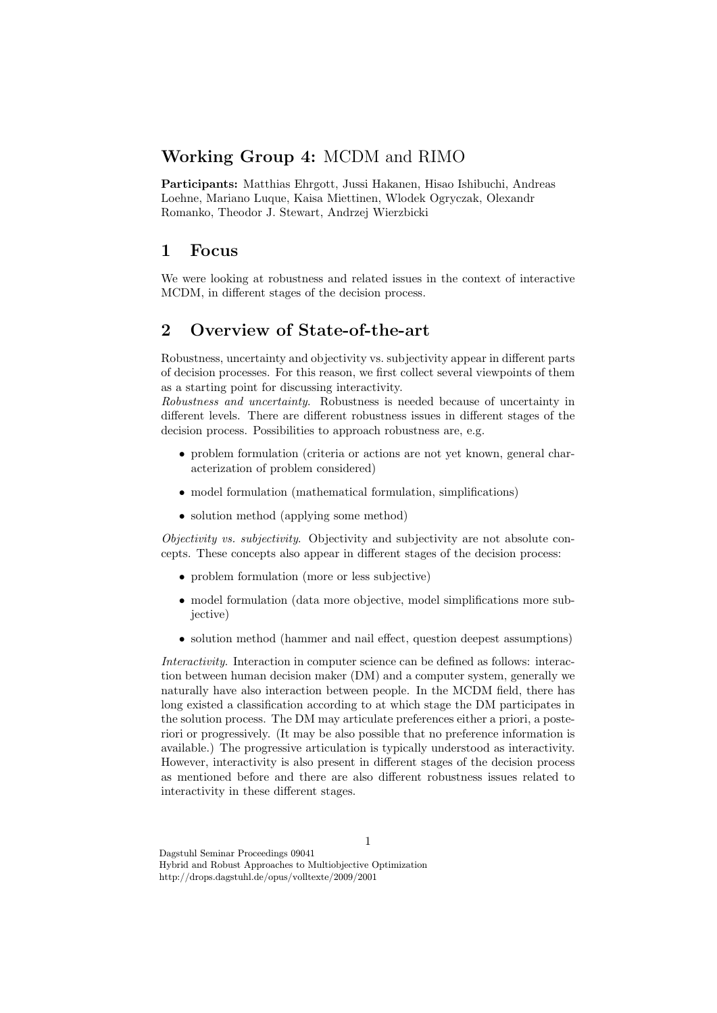## Working Group 4: MCDM and RIMO

Participants: Matthias Ehrgott, Jussi Hakanen, Hisao Ishibuchi, Andreas Loehne, Mariano Luque, Kaisa Miettinen, Wlodek Ogryczak, Olexandr Romanko, Theodor J. Stewart, Andrzej Wierzbicki

### 1 Focus

We were looking at robustness and related issues in the context of interactive MCDM, in different stages of the decision process.

## 2 Overview of State-of-the-art

Robustness, uncertainty and objectivity vs. subjectivity appear in different parts of decision processes. For this reason, we first collect several viewpoints of them as a starting point for discussing interactivity.

Robustness and uncertainty. Robustness is needed because of uncertainty in different levels. There are different robustness issues in different stages of the decision process. Possibilities to approach robustness are, e.g.

- problem formulation (criteria or actions are not yet known, general characterization of problem considered)
- model formulation (mathematical formulation, simplifications)
- solution method (applying some method)

Objectivity vs. subjectivity. Objectivity and subjectivity are not absolute concepts. These concepts also appear in different stages of the decision process:

- problem formulation (more or less subjective)
- model formulation (data more objective, model simplifications more subjective)
- solution method (hammer and nail effect, question deepest assumptions)

Interactivity. Interaction in computer science can be defined as follows: interaction between human decision maker (DM) and a computer system, generally we naturally have also interaction between people. In the MCDM field, there has long existed a classification according to at which stage the DM participates in the solution process. The DM may articulate preferences either a priori, a posteriori or progressively. (It may be also possible that no preference information is available.) The progressive articulation is typically understood as interactivity. However, interactivity is also present in different stages of the decision process as mentioned before and there are also different robustness issues related to interactivity in these different stages.

Dagstuhl Seminar Proceedings 09041 Hybrid and Robust Approaches to Multiobjective Optimization http://drops.dagstuhl.de/opus/volltexte/2009/2001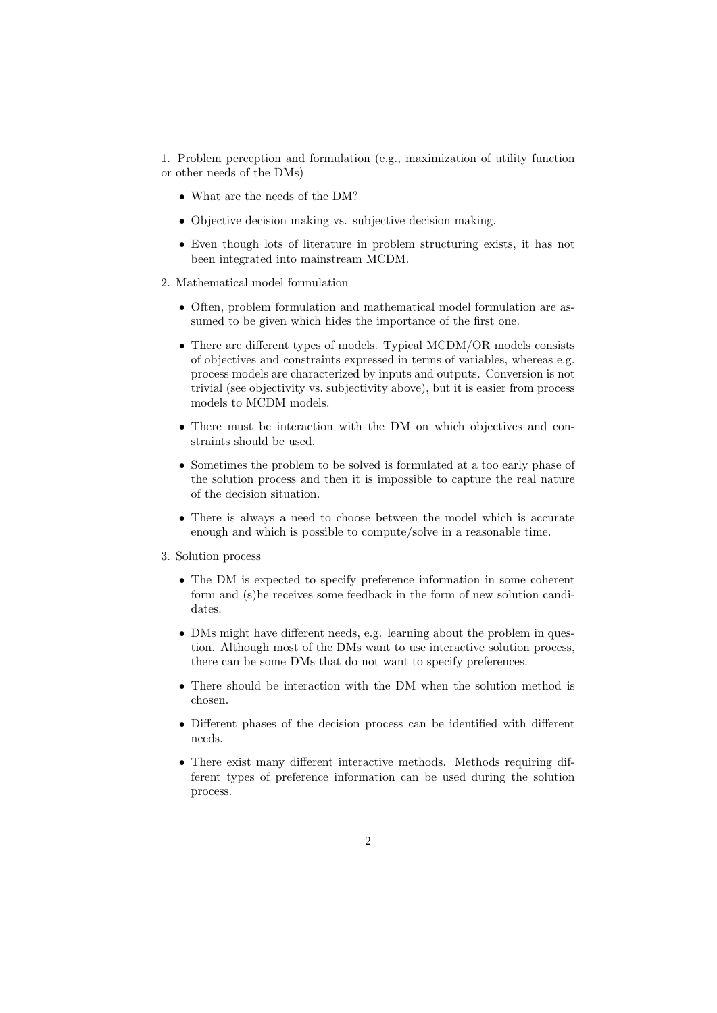1. Problem perception and formulation (e.g., maximization of utility function or other needs of the DMs)

- What are the needs of the DM?
- Objective decision making vs. subjective decision making.
- Even though lots of literature in problem structuring exists, it has not been integrated into mainstream MCDM.
- 2. Mathematical model formulation
	- Often, problem formulation and mathematical model formulation are assumed to be given which hides the importance of the first one.
	- There are different types of models. Typical MCDM/OR models consists of objectives and constraints expressed in terms of variables, whereas e.g. process models are characterized by inputs and outputs. Conversion is not trivial (see objectivity vs. subjectivity above), but it is easier from process models to MCDM models.
	- There must be interaction with the DM on which objectives and constraints should be used.
	- Sometimes the problem to be solved is formulated at a too early phase of the solution process and then it is impossible to capture the real nature of the decision situation.
	- There is always a need to choose between the model which is accurate enough and which is possible to compute/solve in a reasonable time.
- 3. Solution process
	- The DM is expected to specify preference information in some coherent form and (s)he receives some feedback in the form of new solution candidates.
	- DMs might have different needs, e.g. learning about the problem in question. Although most of the DMs want to use interactive solution process, there can be some DMs that do not want to specify preferences.
	- There should be interaction with the DM when the solution method is chosen.
	- Different phases of the decision process can be identified with different needs.
	- There exist many different interactive methods. Methods requiring different types of preference information can be used during the solution process.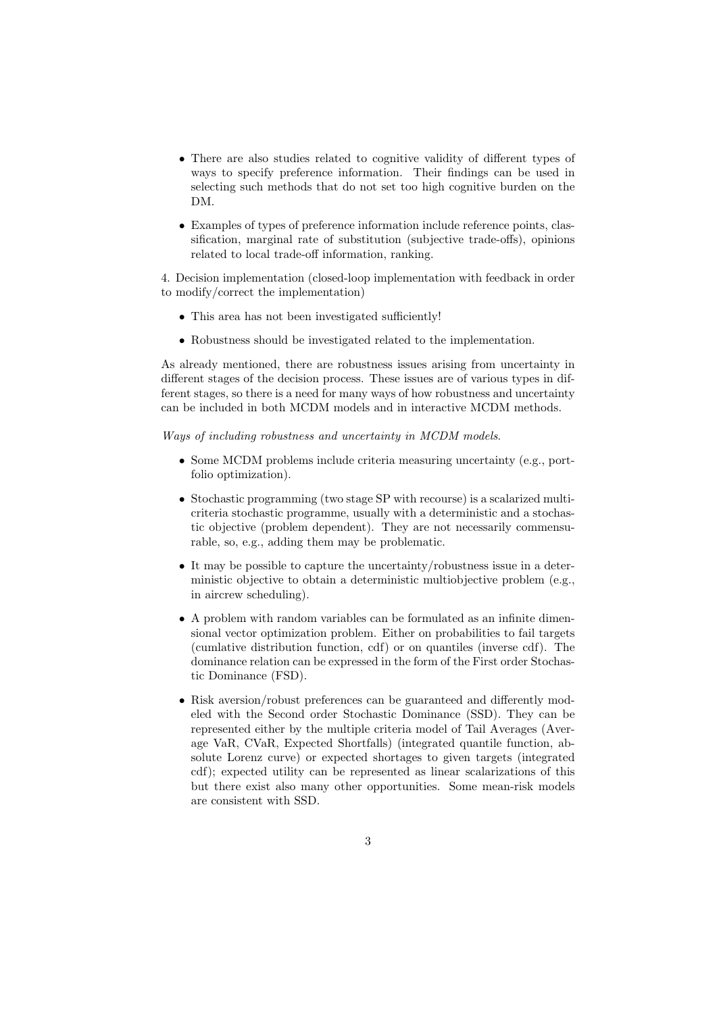- There are also studies related to cognitive validity of different types of ways to specify preference information. Their findings can be used in selecting such methods that do not set too high cognitive burden on the DM.
- Examples of types of preference information include reference points, classification, marginal rate of substitution (subjective trade-offs), opinions related to local trade-off information, ranking.

4. Decision implementation (closed-loop implementation with feedback in order to modify/correct the implementation)

- This area has not been investigated sufficiently!
- Robustness should be investigated related to the implementation.

As already mentioned, there are robustness issues arising from uncertainty in different stages of the decision process. These issues are of various types in different stages, so there is a need for many ways of how robustness and uncertainty can be included in both MCDM models and in interactive MCDM methods.

Ways of including robustness and uncertainty in MCDM models.

- Some MCDM problems include criteria measuring uncertainty (e.g., portfolio optimization).
- Stochastic programming (two stage SP with recourse) is a scalarized multicriteria stochastic programme, usually with a deterministic and a stochastic objective (problem dependent). They are not necessarily commensurable, so, e.g., adding them may be problematic.
- It may be possible to capture the uncertainty/robustness issue in a deterministic objective to obtain a deterministic multiobjective problem (e.g., in aircrew scheduling).
- A problem with random variables can be formulated as an infinite dimensional vector optimization problem. Either on probabilities to fail targets (cumlative distribution function, cdf) or on quantiles (inverse cdf). The dominance relation can be expressed in the form of the First order Stochastic Dominance (FSD).
- Risk aversion/robust preferences can be guaranteed and differently modeled with the Second order Stochastic Dominance (SSD). They can be represented either by the multiple criteria model of Tail Averages (Average VaR, CVaR, Expected Shortfalls) (integrated quantile function, absolute Lorenz curve) or expected shortages to given targets (integrated cdf); expected utility can be represented as linear scalarizations of this but there exist also many other opportunities. Some mean-risk models are consistent with SSD.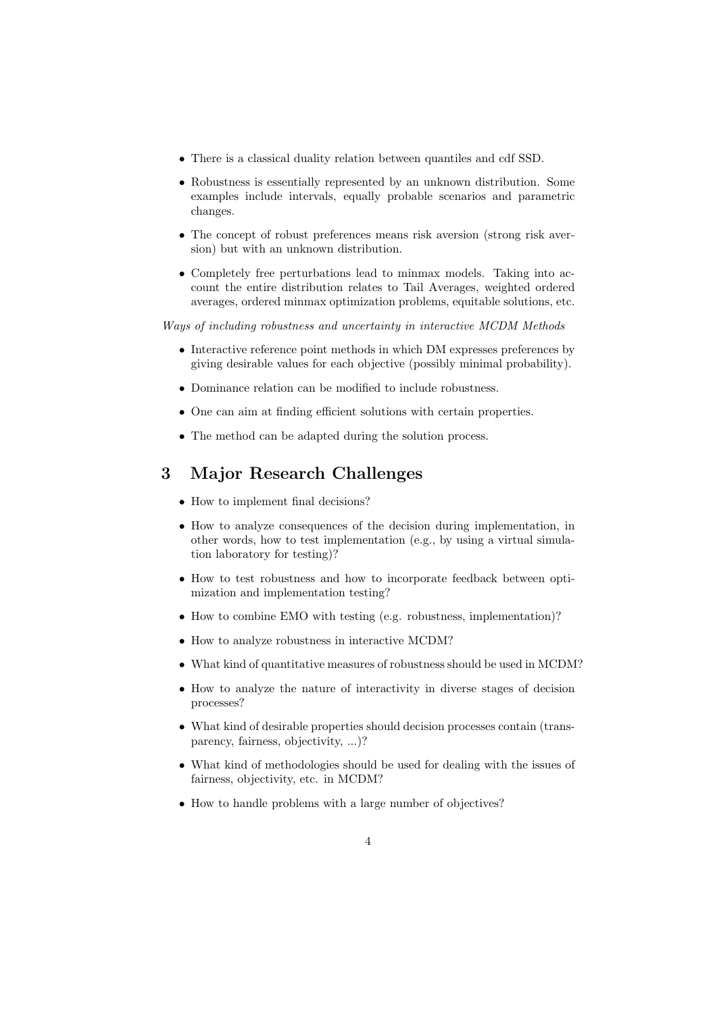- There is a classical duality relation between quantiles and cdf SSD.
- Robustness is essentially represented by an unknown distribution. Some examples include intervals, equally probable scenarios and parametric changes.
- The concept of robust preferences means risk aversion (strong risk aversion) but with an unknown distribution.
- Completely free perturbations lead to minmax models. Taking into account the entire distribution relates to Tail Averages, weighted ordered averages, ordered minmax optimization problems, equitable solutions, etc.

Ways of including robustness and uncertainty in interactive MCDM Methods

- Interactive reference point methods in which DM expresses preferences by giving desirable values for each objective (possibly minimal probability).
- Dominance relation can be modified to include robustness.
- One can aim at finding efficient solutions with certain properties.
- The method can be adapted during the solution process.

#### 3 Major Research Challenges

- How to implement final decisions?
- How to analyze consequences of the decision during implementation, in other words, how to test implementation (e.g., by using a virtual simulation laboratory for testing)?
- How to test robustness and how to incorporate feedback between optimization and implementation testing?
- How to combine EMO with testing (e.g. robustness, implementation)?
- How to analyze robustness in interactive MCDM?
- What kind of quantitative measures of robustness should be used in MCDM?
- How to analyze the nature of interactivity in diverse stages of decision processes?
- What kind of desirable properties should decision processes contain (transparency, fairness, objectivity, ...)?
- What kind of methodologies should be used for dealing with the issues of fairness, objectivity, etc. in MCDM?
- How to handle problems with a large number of objectives?